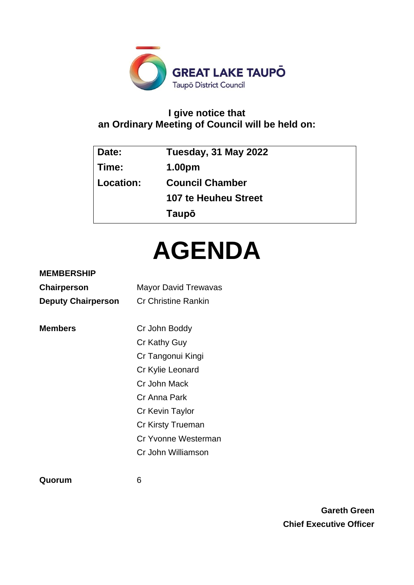

# **I give notice that an Ordinary Meeting of Council will be held on:**

| Date:     | Tuesday, 31 May 2022   |
|-----------|------------------------|
| Time:     | 1.00pm                 |
| Location: | <b>Council Chamber</b> |
|           | 107 te Heuheu Street   |
|           | Taupō                  |

# **AGENDA**

# **MEMBERSHIP**

| Chairperson               | <b>Mayor David Trewavas</b> |
|---------------------------|-----------------------------|
| <b>Deputy Chairperson</b> | Cr Christine Rankin         |
|                           |                             |
| <b>Members</b>            | Cr John Boddy               |
|                           | Cr Kathy Guy                |
|                           | Cr Tangonui Kingi           |
|                           | Cr Kylie Leonard            |
|                           | Cr John Mack                |
|                           | Cr Anna Park                |
|                           | Cr Kevin Taylor             |
|                           | <b>Cr Kirsty Trueman</b>    |
|                           | Cr Yvonne Westerman         |
|                           | Cr John Williamson          |
|                           |                             |

**Quorum** 6

**Gareth Green Chief Executive Officer**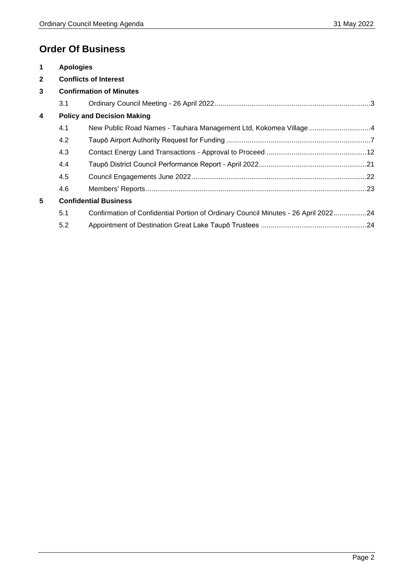# **Order Of Business**

| $\mathbf 1$             | <b>Apologies</b> |                                                                                    |  |
|-------------------------|------------------|------------------------------------------------------------------------------------|--|
| $\mathbf{2}$            |                  | <b>Conflicts of Interest</b>                                                       |  |
| 3                       |                  | <b>Confirmation of Minutes</b>                                                     |  |
|                         | 3.1              |                                                                                    |  |
| $\overline{\mathbf{4}}$ |                  | <b>Policy and Decision Making</b>                                                  |  |
|                         | 4.1              | New Public Road Names - Tauhara Management Ltd, Kokomea Village 4                  |  |
|                         | 4.2              |                                                                                    |  |
|                         | 4.3              |                                                                                    |  |
|                         | 4.4              |                                                                                    |  |
|                         | 4.5              |                                                                                    |  |
|                         | 4.6              |                                                                                    |  |
| 5                       |                  | <b>Confidential Business</b>                                                       |  |
|                         | 5.1              | Confirmation of Confidential Portion of Ordinary Council Minutes - 26 April 202224 |  |
|                         | 5.2              |                                                                                    |  |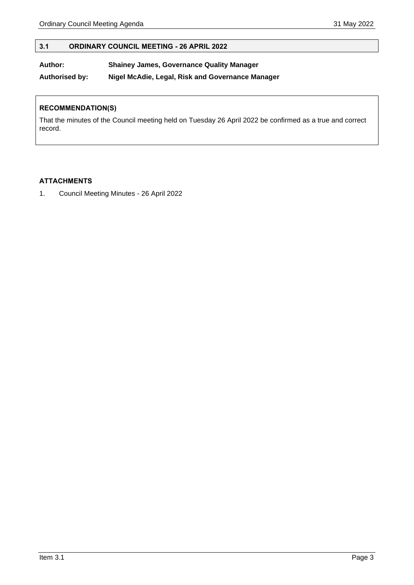# <span id="page-2-0"></span>**3.1 ORDINARY COUNCIL MEETING - 26 APRIL 2022**

#### **Author: Shainey James, Governance Quality Manager**

**Authorised by: Nigel McAdie, Legal, Risk and Governance Manager**

# **RECOMMENDATION(S)**

That the minutes of the Council meeting held on Tuesday 26 April 2022 be confirmed as a true and correct record.

# **ATTACHMENTS**

1. Council Meeting Minutes - 26 April 2022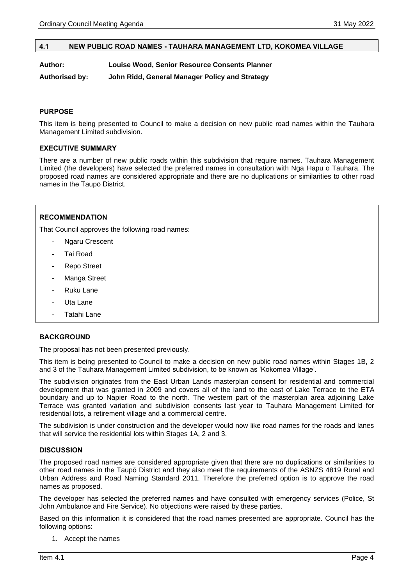#### <span id="page-3-0"></span>**4.1 NEW PUBLIC ROAD NAMES - TAUHARA MANAGEMENT LTD, KOKOMEA VILLAGE**

**Author: Louise Wood, Senior Resource Consents Planner**

**Authorised by: John Ridd, General Manager Policy and Strategy**

#### **PURPOSE**

This item is being presented to Council to make a decision on new public road names within the Tauhara Management Limited subdivision.

#### **EXECUTIVE SUMMARY**

There are a number of new public roads within this subdivision that require names. Tauhara Management Limited (the developers) have selected the preferred names in consultation with Nga Hapu o Tauhara. The proposed road names are considered appropriate and there are no duplications or similarities to other road names in the Taupō District.

#### **RECOMMENDATION**

That Council approves the following road names:

- Ngaru Crescent
- Tai Road
- Repo Street
- Manga Street
- Ruku Lane
- Uta Lane
- Tatahi Lane

#### **BACKGROUND**

The proposal has not been presented previously.

This item is being presented to Council to make a decision on new public road names within Stages 1B, 2 and 3 of the Tauhara Management Limited subdivision, to be known as 'Kokomea Village'.

The subdivision originates from the East Urban Lands masterplan consent for residential and commercial development that was granted in 2009 and covers all of the land to the east of Lake Terrace to the ETA boundary and up to Napier Road to the north. The western part of the masterplan area adjoining Lake Terrace was granted variation and subdivision consents last year to Tauhara Management Limited for residential lots, a retirement village and a commercial centre.

The subdivision is under construction and the developer would now like road names for the roads and lanes that will service the residential lots within Stages 1A, 2 and 3.

#### **DISCUSSION**

The proposed road names are considered appropriate given that there are no duplications or similarities to other road names in the Taupō District and they also meet the requirements of the ASNZS 4819 Rural and Urban Address and Road Naming Standard 2011. Therefore the preferred option is to approve the road names as proposed.

The developer has selected the preferred names and have consulted with emergency services (Police, St John Ambulance and Fire Service). No objections were raised by these parties.

Based on this information it is considered that the road names presented are appropriate. Council has the following options:

1. Accept the names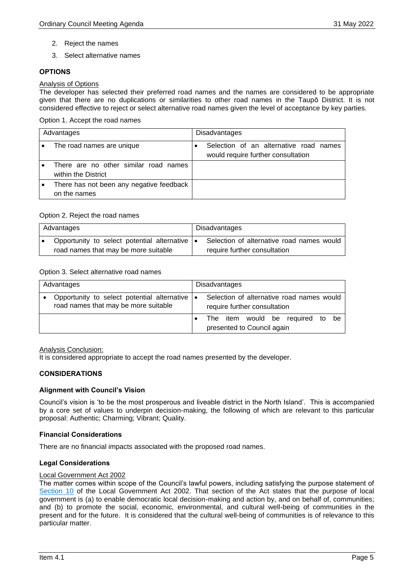- 2. Reject the names
- 3. Select alternative names

# **OPTIONS**

#### Analysis of Options

The developer has selected their preferred road names and the names are considered to be appropriate given that there are no duplications or similarities to other road names in the Taupō District. It is not considered effective to reject or select alternative road names given the level of acceptance by key parties.

#### Option 1. Accept the road names

| Advantages |                                                              | <b>Disadvantages</b>                                                         |
|------------|--------------------------------------------------------------|------------------------------------------------------------------------------|
|            | The road names are unique                                    | Selection of an alternative road names<br>would require further consultation |
|            | There are no other similar road names<br>within the District |                                                                              |
|            | There has not been any negative feedback<br>on the names     |                                                                              |

# Option 2. Reject the road names

| Advantages |                                                | Disadvantages |                                           |
|------------|------------------------------------------------|---------------|-------------------------------------------|
|            | Opportunity to select potential alternative  . |               | Selection of alternative road names would |
|            | road names that may be more suitable           |               | require further consultation              |

#### Option 3. Select alternative road names

| Advantages |                                                                                     |                                                                                |  | <b>Disadvantages</b> |  |  |  |  |  |
|------------|-------------------------------------------------------------------------------------|--------------------------------------------------------------------------------|--|----------------------|--|--|--|--|--|
|            | Opportunity to select potential alternative<br>road names that may be more suitable | Selection of alternative road names would<br>۰<br>require further consultation |  |                      |  |  |  |  |  |
|            |                                                                                     | The item would be required to be<br>presented to Council again                 |  |                      |  |  |  |  |  |

#### Analysis Conclusion:

It is considered appropriate to accept the road names presented by the developer.

#### **CONSIDERATIONS**

#### **Alignment with Council's Vision**

Council's vision is 'to be the most prosperous and liveable district in the North Island'. This is accompanied by a core set of values to underpin decision-making, the following of which are relevant to this particular proposal: Authentic; Charming; Vibrant; Quality.

#### **Financial Considerations**

There are no financial impacts associated with the proposed road names.

#### **Legal Considerations**

#### Local Government Act 2002

The matter comes within scope of the Council's lawful powers, including satisfying the purpose statement of [Section 10](http://www.legislation.govt.nz/act/public/2002/0084/latest/DLM171803.html?search=qs_act%40bill%40regulation%40deemedreg_local+government+act_resel_25_h&p=1) of the Local Government Act 2002. That section of the Act states that the purpose of local government is (a) to enable democratic local decision-making and action by, and on behalf of, communities; and (b) to promote the social, economic, environmental, and cultural well-being of communities in the present and for the future. It is considered that the cultural well-being of communities is of relevance to this particular matter.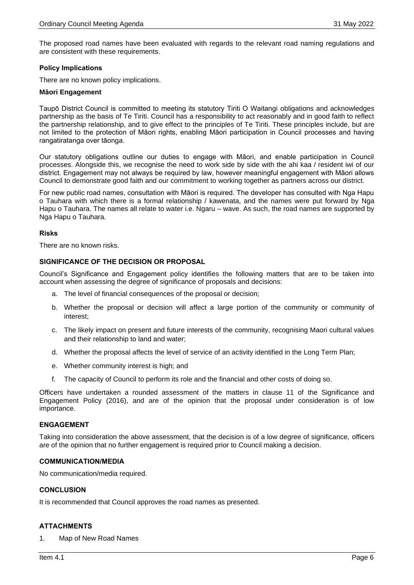The proposed road names have been evaluated with regards to the relevant road naming regulations and are consistent with these requirements.

#### **Policy Implications**

There are no known policy implications.

#### **Māori Engagement**

Taupō District Council is committed to meeting its statutory Tiriti O Waitangi obligations and acknowledges partnership as the basis of Te Tiriti. Council has a responsibility to act reasonably and in good faith to reflect the partnership relationship, and to give effect to the principles of Te Tiriti. These principles include, but are not limited to the protection of Māori rights, enabling Māori participation in Council processes and having rangatiratanga over tāonga.

Our statutory obligations outline our duties to engage with Māori, and enable participation in Council processes. Alongside this, we recognise the need to work side by side with the ahi kaa / resident iwi of our district. Engagement may not always be required by law, however meaningful engagement with Māori allows Council to demonstrate good faith and our commitment to working together as partners across our district.

For new public road names, consultation with Māori is required. The developer has consulted with Nga Hapu o Tauhara with which there is a formal relationship / kawenata, and the names were put forward by Nga Hapu o Tauhara. The names all relate to water i.e. Ngaru – wave. As such, the road names are supported by Nga Hapu o Tauhara.

#### **Risks**

There are no known risks.

#### **SIGNIFICANCE OF THE DECISION OR PROPOSAL**

Council's Significance and Engagement policy identifies the following matters that are to be taken into account when assessing the degree of significance of proposals and decisions:

- a. The level of financial consequences of the proposal or decision;
- b. Whether the proposal or decision will affect a large portion of the community or community of interest;
- c. The likely impact on present and future interests of the community, recognising Maori cultural values and their relationship to land and water;
- d. Whether the proposal affects the level of service of an activity identified in the Long Term Plan;
- e. Whether community interest is high; and
- f. The capacity of Council to perform its role and the financial and other costs of doing so.

Officers have undertaken a rounded assessment of the matters in clause 11 of the Significance and Engagement Policy (2016), and are of the opinion that the proposal under consideration is of low importance.

#### **ENGAGEMENT**

Taking into consideration the above assessment, that the decision is of a low degree of significance, officers are of the opinion that no further engagement is required prior to Council making a decision.

#### **COMMUNICATION/MEDIA**

No communication/media required.

#### **CONCLUSION**

It is recommended that Council approves the road names as presented.

#### **ATTACHMENTS**

1. Map of New Road Names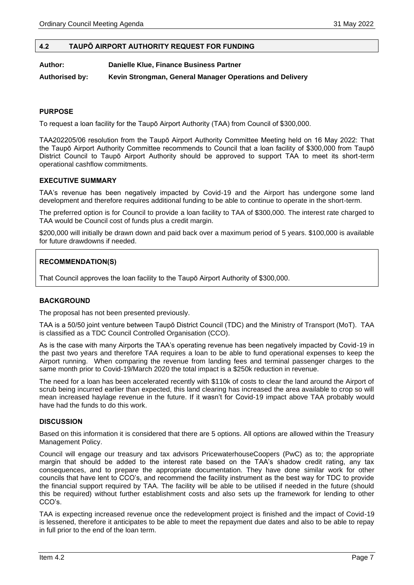#### <span id="page-6-0"></span>**4.2 TAUPŌ AIRPORT AUTHORITY REQUEST FOR FUNDING**

**Author: Danielle Klue, Finance Business Partner**

**Authorised by: Kevin Strongman, General Manager Operations and Delivery**

#### **PURPOSE**

To request a loan facility for the Taupō Airport Authority (TAA) from Council of \$300,000.

TAA202205/06 resolution from the Taupō Airport Authority Committee Meeting held on 16 May 2022: That the Taupō Airport Authority Committee recommends to Council that a loan facility of \$300,000 from Taupō District Council to Taupō Airport Authority should be approved to support TAA to meet its short-term operational cashflow commitments.

#### **EXECUTIVE SUMMARY**

TAA's revenue has been negatively impacted by Covid-19 and the Airport has undergone some land development and therefore requires additional funding to be able to continue to operate in the short-term.

The preferred option is for Council to provide a loan facility to TAA of \$300,000. The interest rate charged to TAA would be Council cost of funds plus a credit margin.

\$200,000 will initially be drawn down and paid back over a maximum period of 5 years. \$100,000 is available for future drawdowns if needed.

#### **RECOMMENDATION(S)**

That Council approves the loan facility to the Taupō Airport Authority of \$300,000.

#### **BACKGROUND**

The proposal has not been presented previously.

TAA is a 50/50 joint venture between Taupō District Council (TDC) and the Ministry of Transport (MoT). TAA is classified as a TDC Council Controlled Organisation (CCO).

As is the case with many Airports the TAA's operating revenue has been negatively impacted by Covid-19 in the past two years and therefore TAA requires a loan to be able to fund operational expenses to keep the Airport running. When comparing the revenue from landing fees and terminal passenger charges to the same month prior to Covid-19/March 2020 the total impact is a \$250k reduction in revenue.

The need for a loan has been accelerated recently with \$110k of costs to clear the land around the Airport of scrub being incurred earlier than expected, this land clearing has increased the area available to crop so will mean increased haylage revenue in the future. If it wasn't for Covid-19 impact above TAA probably would have had the funds to do this work.

#### **DISCUSSION**

Based on this information it is considered that there are 5 options. All options are allowed within the Treasury Management Policy.

Council will engage our treasury and tax advisors PricewaterhouseCoopers (PwC) as to; the appropriate margin that should be added to the interest rate based on the TAA's shadow credit rating, any tax consequences, and to prepare the appropriate documentation. They have done similar work for other councils that have lent to CCO's, and recommend the facility instrument as the best way for TDC to provide the financial support required by TAA. The facility will be able to be utilised if needed in the future (should this be required) without further establishment costs and also sets up the framework for lending to other CCO's.

TAA is expecting increased revenue once the redevelopment project is finished and the impact of Covid-19 is lessened, therefore it anticipates to be able to meet the repayment due dates and also to be able to repay in full prior to the end of the loan term.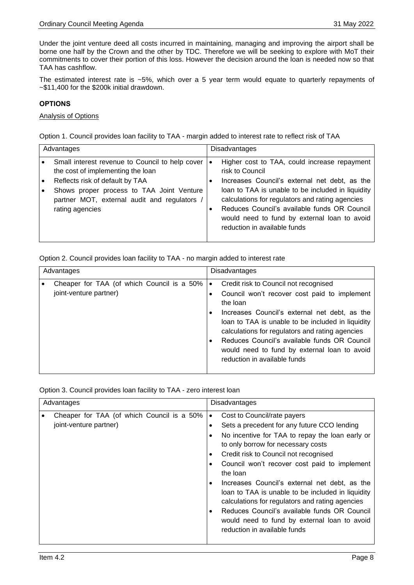Under the joint venture deed all costs incurred in maintaining, managing and improving the airport shall be borne one half by the Crown and the other by TDC. Therefore we will be seeking to explore with MoT their commitments to cover their portion of this loss. However the decision around the loan is needed now so that TAA has cashflow.

The estimated interest rate is ~5%, which over a 5 year term would equate to quarterly repayments of ~\$11,400 for the \$200k initial drawdown.

#### **OPTIONS**

#### Analysis of Options

Option 1. Council provides loan facility to TAA - margin added to interest rate to reflect risk of TAA

| Advantages |                                                                                                                                                                                                                                         | Disadvantages |                                                                                                                                                                                                                                                                                                                                                          |
|------------|-----------------------------------------------------------------------------------------------------------------------------------------------------------------------------------------------------------------------------------------|---------------|----------------------------------------------------------------------------------------------------------------------------------------------------------------------------------------------------------------------------------------------------------------------------------------------------------------------------------------------------------|
|            | Small interest revenue to Council to help cover<br>the cost of implementing the loan<br>Reflects risk of default by TAA<br>Shows proper process to TAA Joint Venture<br>partner MOT, external audit and regulators /<br>rating agencies | $\bullet$     | Higher cost to TAA, could increase repayment<br>risk to Council<br>Increases Council's external net debt, as the<br>loan to TAA is unable to be included in liquidity<br>calculations for regulators and rating agencies<br>Reduces Council's available funds OR Council<br>would need to fund by external loan to avoid<br>reduction in available funds |

#### Option 2. Council provides loan facility to TAA - no margin added to interest rate

| Advantages             |                                            |           | <b>Disadvantages</b>                                                                                                                                                                                                                                                                                                                                                                       |
|------------------------|--------------------------------------------|-----------|--------------------------------------------------------------------------------------------------------------------------------------------------------------------------------------------------------------------------------------------------------------------------------------------------------------------------------------------------------------------------------------------|
| joint-venture partner) | Cheaper for TAA (of which Council is a 50% | $\bullet$ | Credit risk to Council not recognised<br>Council won't recover cost paid to implement<br>the loan<br>Increases Council's external net debt, as the<br>loan to TAA is unable to be included in liquidity<br>calculations for regulators and rating agencies<br>Reduces Council's available funds OR Council<br>would need to fund by external loan to avoid<br>reduction in available funds |

Option 3. Council provides loan facility to TAA - zero interest loan

| Advantages                                                           | <b>Disadvantages</b>                                                                                                                                                                                                                                                                                                                                                                                                                                                                                                                                                                               |  |
|----------------------------------------------------------------------|----------------------------------------------------------------------------------------------------------------------------------------------------------------------------------------------------------------------------------------------------------------------------------------------------------------------------------------------------------------------------------------------------------------------------------------------------------------------------------------------------------------------------------------------------------------------------------------------------|--|
| Cheaper for TAA (of which Council is a 50%<br>joint-venture partner) | Cost to Council/rate payers<br>$\bullet$<br>Sets a precedent for any future CCO lending<br>٠<br>No incentive for TAA to repay the loan early or<br>to only borrow for necessary costs<br>Credit risk to Council not recognised<br>٠<br>Council won't recover cost paid to implement<br>the loan<br>Increases Council's external net debt, as the<br>٠<br>loan to TAA is unable to be included in liquidity<br>calculations for regulators and rating agencies<br>Reduces Council's available funds OR Council<br>٠<br>would need to fund by external loan to avoid<br>reduction in available funds |  |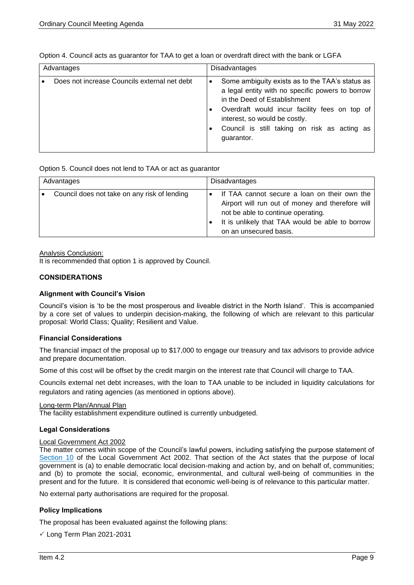| Advantages                                   | <b>Disadvantages</b>                                                                                                                                                                                                                                                                |
|----------------------------------------------|-------------------------------------------------------------------------------------------------------------------------------------------------------------------------------------------------------------------------------------------------------------------------------------|
| Does not increase Councils external net debt | Some ambiguity exists as to the TAA's status as<br>a legal entity with no specific powers to borrow<br>in the Deed of Establishment<br>Overdraft would incur facility fees on top of<br>interest, so would be costly.<br>Council is still taking on risk as acting as<br>guarantor. |

Option 4. Council acts as guarantor for TAA to get a loan or overdraft direct with the bank or LGFA

Option 5. Council does not lend to TAA or act as guarantor

| Advantages                                   | <b>Disadvantages</b> |                                                                                                                                                                                                                     |
|----------------------------------------------|----------------------|---------------------------------------------------------------------------------------------------------------------------------------------------------------------------------------------------------------------|
| Council does not take on any risk of lending |                      | If TAA cannot secure a loan on their own the<br>Airport will run out of money and therefore will<br>not be able to continue operating.<br>It is unlikely that TAA would be able to borrow<br>on an unsecured basis. |

Analysis Conclusion:

It is recommended that option 1 is approved by Council.

## **CONSIDERATIONS**

#### **Alignment with Council's Vision**

Council's vision is 'to be the most prosperous and liveable district in the North Island'. This is accompanied by a core set of values to underpin decision-making, the following of which are relevant to this particular proposal: World Class; Quality; Resilient and Value.

#### **Financial Considerations**

The financial impact of the proposal up to \$17,000 to engage our treasury and tax advisors to provide advice and prepare documentation.

Some of this cost will be offset by the credit margin on the interest rate that Council will charge to TAA.

Councils external net debt increases, with the loan to TAA unable to be included in liquidity calculations for regulators and rating agencies (as mentioned in options above).

#### Long-term Plan/Annual Plan

The facility establishment expenditure outlined is currently unbudgeted.

#### **Legal Considerations**

#### Local Government Act 2002

The matter comes within scope of the Council's lawful powers, including satisfying the purpose statement of [Section 10](http://www.legislation.govt.nz/act/public/2002/0084/latest/DLM171803.html?search=qs_act%40bill%40regulation%40deemedreg_local+government+act_resel_25_h&p=1) of the Local Government Act 2002. That section of the Act states that the purpose of local government is (a) to enable democratic local decision-making and action by, and on behalf of, communities; and (b) to promote the social, economic, environmental, and cultural well-being of communities in the present and for the future. It is considered that economic well-being is of relevance to this particular matter.

No external party authorisations are required for the proposal.

#### **Policy Implications**

The proposal has been evaluated against the following plans:

```
\checkmark Long Term Plan 2021-2031
```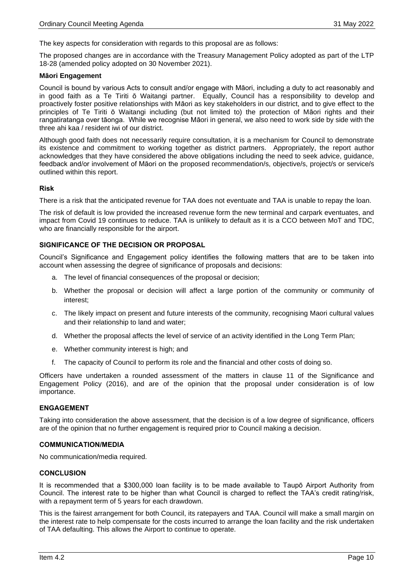The key aspects for consideration with regards to this proposal are as follows:

The proposed changes are in accordance with the Treasury Management Policy adopted as part of the LTP 18-28 (amended policy adopted on 30 November 2021).

#### **Māori Engagement**

Council is bound by various Acts to consult and/or engage with Māori, including a duty to act reasonably and in good faith as a Te Tiriti ō Waitangi partner. Equally, Council has a responsibility to develop and proactively foster positive relationships with Māori as key stakeholders in our district, and to give effect to the principles of Te Tiriti ō Waitangi including (but not limited to) the protection of Māori rights and their rangatiratanga over tāonga. While we recognise Māori in general, we also need to work side by side with the three ahi kaa / resident iwi of our district.

Although good faith does not necessarily require consultation, it is a mechanism for Council to demonstrate its existence and commitment to working together as district partners. Appropriately, the report author acknowledges that they have considered the above obligations including the need to seek advice, guidance, feedback and/or involvement of Māori on the proposed recommendation/s, objective/s, project/s or service/s outlined within this report.

#### **Risk**

There is a risk that the anticipated revenue for TAA does not eventuate and TAA is unable to repay the loan.

The risk of default is low provided the increased revenue form the new terminal and carpark eventuates, and impact from Covid 19 continues to reduce. TAA is unlikely to default as it is a CCO between MoT and TDC, who are financially responsible for the airport.

#### **SIGNIFICANCE OF THE DECISION OR PROPOSAL**

Council's Significance and Engagement policy identifies the following matters that are to be taken into account when assessing the degree of significance of proposals and decisions:

- a. The level of financial consequences of the proposal or decision;
- b. Whether the proposal or decision will affect a large portion of the community or community of interest;
- c. The likely impact on present and future interests of the community, recognising Maori cultural values and their relationship to land and water;
- d. Whether the proposal affects the level of service of an activity identified in the Long Term Plan;
- e. Whether community interest is high; and
- f. The capacity of Council to perform its role and the financial and other costs of doing so.

Officers have undertaken a rounded assessment of the matters in clause 11 of the Significance and Engagement Policy (2016), and are of the opinion that the proposal under consideration is of low importance.

#### **ENGAGEMENT**

Taking into consideration the above assessment, that the decision is of a low degree of significance, officers are of the opinion that no further engagement is required prior to Council making a decision.

#### **COMMUNICATION/MEDIA**

No communication/media required.

#### **CONCLUSION**

It is recommended that a \$300,000 loan facility is to be made available to Taupō Airport Authority from Council. The interest rate to be higher than what Council is charged to reflect the TAA's credit rating/risk, with a repayment term of 5 years for each drawdown.

This is the fairest arrangement for both Council, its ratepayers and TAA. Council will make a small margin on the interest rate to help compensate for the costs incurred to arrange the loan facility and the risk undertaken of TAA defaulting. This allows the Airport to continue to operate.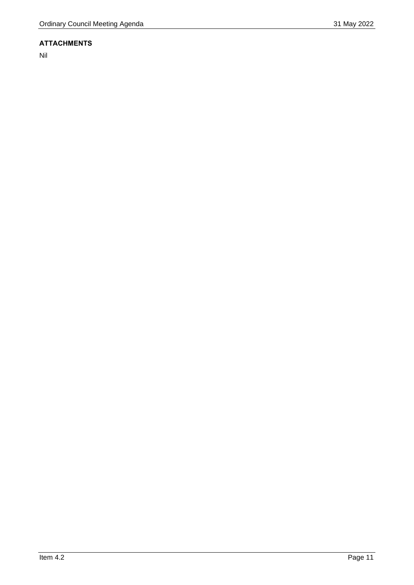Nil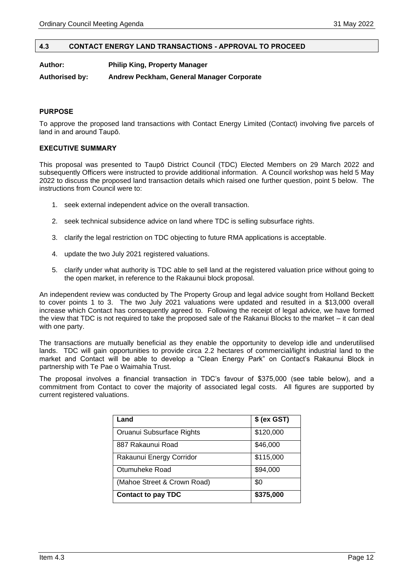#### <span id="page-11-0"></span>**4.3 CONTACT ENERGY LAND TRANSACTIONS - APPROVAL TO PROCEED**

**Author: Philip King, Property Manager**

**Authorised by: Andrew Peckham, General Manager Corporate**

#### **PURPOSE**

To approve the proposed land transactions with Contact Energy Limited (Contact) involving five parcels of land in and around Taupō.

#### **EXECUTIVE SUMMARY**

This proposal was presented to Taupō District Council (TDC) Elected Members on 29 March 2022 and subsequently Officers were instructed to provide additional information. A Council workshop was held 5 May 2022 to discuss the proposed land transaction details which raised one further question, point 5 below. The instructions from Council were to:

- 1. seek external independent advice on the overall transaction.
- 2. seek technical subsidence advice on land where TDC is selling subsurface rights.
- 3. clarify the legal restriction on TDC objecting to future RMA applications is acceptable.
- 4. update the two July 2021 registered valuations.
- 5. clarify under what authority is TDC able to sell land at the registered valuation price without going to the open market, in reference to the Rakaunui block proposal.

An independent review was conducted by The Property Group and legal advice sought from Holland Beckett to cover points 1 to 3. The two July 2021 valuations were updated and resulted in a \$13,000 overall increase which Contact has consequently agreed to. Following the receipt of legal advice, we have formed the view that TDC is not required to take the proposed sale of the Rakanui Blocks to the market – it can deal with one party.

The transactions are mutually beneficial as they enable the opportunity to develop idle and underutilised lands. TDC will gain opportunities to provide circa 2.2 hectares of commercial/light industrial land to the market and Contact will be able to develop a "Clean Energy Park" on Contact's Rakaunui Block in partnership with Te Pae o Waimahia Trust.

The proposal involves a financial transaction in TDC's favour of \$375,000 (see table below), and a commitment from Contact to cover the majority of associated legal costs. All figures are supported by current registered valuations.

| Land                        | \$ (ex GST) |
|-----------------------------|-------------|
| Oruanui Subsurface Rights   | \$120,000   |
| 887 Rakaunui Road           | \$46,000    |
| Rakaunui Energy Corridor    | \$115,000   |
| Otumuheke Road              | \$94,000    |
| (Mahoe Street & Crown Road) | \$0         |
| <b>Contact to pay TDC</b>   | \$375,000   |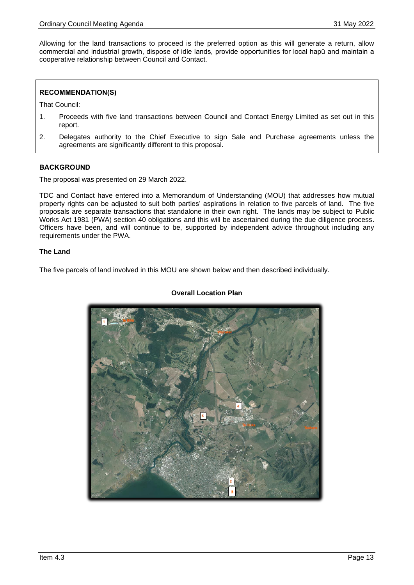Allowing for the land transactions to proceed is the preferred option as this will generate a return, allow commercial and industrial growth, dispose of idle lands, provide opportunities for local hapū and maintain a cooperative relationship between Council and Contact.

# **RECOMMENDATION(S)**

That Council:

- 1. Proceeds with five land transactions between Council and Contact Energy Limited as set out in this report.
- 2. Delegates authority to the Chief Executive to sign Sale and Purchase agreements unless the agreements are significantly different to this proposal.

#### **BACKGROUND**

The proposal was presented on 29 March 2022.

TDC and Contact have entered into a Memorandum of Understanding (MOU) that addresses how mutual property rights can be adjusted to suit both parties' aspirations in relation to five parcels of land. The five proposals are separate transactions that standalone in their own right. The lands may be subject to Public Works Act 1981 (PWA) section 40 obligations and this will be ascertained during the due diligence process. Officers have been, and will continue to be, supported by independent advice throughout including any requirements under the PWA.

#### **The Land**

The five parcels of land involved in this MOU are shown below and then described individually.



## **Overall Location Plan**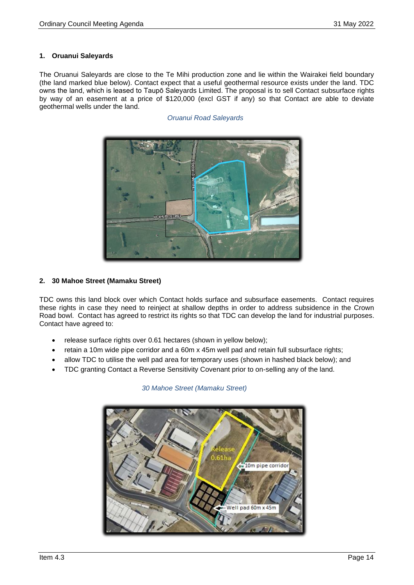# **1. Oruanui Saleyards**

The Oruanui Saleyards are close to the Te Mihi production zone and lie within the Wairakei field boundary (the land marked blue below). Contact expect that a useful geothermal resource exists under the land. TDC owns the land, which is leased to Taupō Saleyards Limited. The proposal is to sell Contact subsurface rights by way of an easement at a price of \$120,000 (excl GST if any) so that Contact are able to deviate geothermal wells under the land.

*Oruanui Road Saleyards*



# **2. 30 Mahoe Street (Mamaku Street)**

TDC owns this land block over which Contact holds surface and subsurface easements. Contact requires these rights in case they need to reinject at shallow depths in order to address subsidence in the Crown Road bowl. Contact has agreed to restrict its rights so that TDC can develop the land for industrial purposes. Contact have agreed to:

- release surface rights over 0.61 hectares (shown in yellow below);
- retain a 10m wide pipe corridor and a 60m x 45m well pad and retain full subsurface rights;
- allow TDC to utilise the well pad area for temporary uses (shown in hashed black below); and
- TDC granting Contact a Reverse Sensitivity Covenant prior to on-selling any of the land.



# *30 Mahoe Street (Mamaku Street)*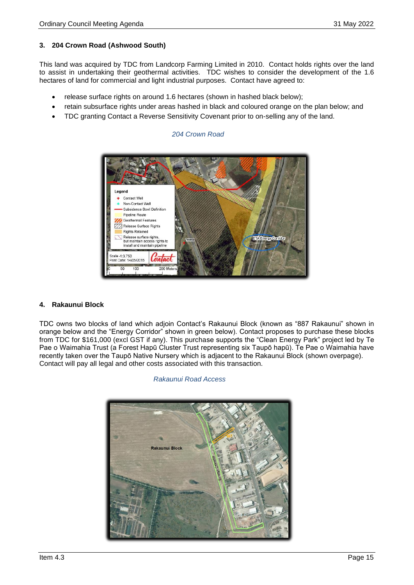## **3. 204 Crown Road (Ashwood South)**

This land was acquired by TDC from Landcorp Farming Limited in 2010. Contact holds rights over the land to assist in undertaking their geothermal activities. TDC wishes to consider the development of the 1.6 hectares of land for commercial and light industrial purposes. Contact have agreed to:

- release surface rights on around 1.6 hectares (shown in hashed black below);
- retain subsurface rights under areas hashed in black and coloured orange on the plan below; and
- TDC granting Contact a Reverse Sensitivity Covenant prior to on-selling any of the land.

#### *204 Crown Road*



#### **4. Rakaunui Block**

TDC owns two blocks of land which adjoin Contact's Rakaunui Block (known as "887 Rakaunui" shown in orange below and the "Energy Corridor" shown in green below). Contact proposes to purchase these blocks from TDC for \$161,000 (excl GST if any). This purchase supports the "Clean Energy Park" project led by Te Pae o Waimahia Trust (a Forest Hapū Cluster Trust representing six Taupō hapū). Te Pae o Waimahia have recently taken over the Taupō Native Nursery which is adjacent to the Rakaunui Block (shown overpage). Contact will pay all legal and other costs associated with this transaction.



*Rakaunui Road Access*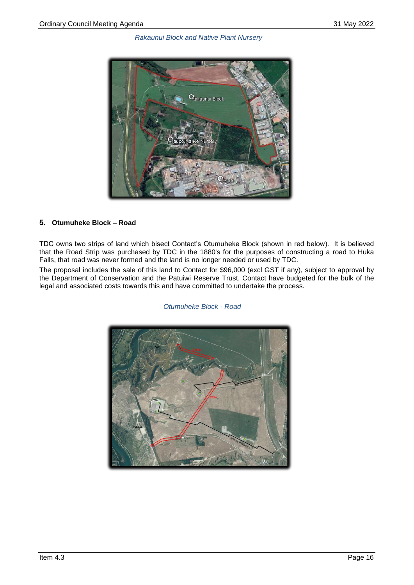

# **5. Otumuheke Block – Road**

TDC owns two strips of land which bisect Contact's Otumuheke Block (shown in red below). It is believed that the Road Strip was purchased by TDC in the 1880's for the purposes of constructing a road to Huka Falls, that road was never formed and the land is no longer needed or used by TDC.

The proposal includes the sale of this land to Contact for \$96,000 (excl GST if any), subject to approval by the Department of Conservation and the Patuiwi Reserve Trust. Contact have budgeted for the bulk of the legal and associated costs towards this and have committed to undertake the process.

*Otumuheke Block - Road*

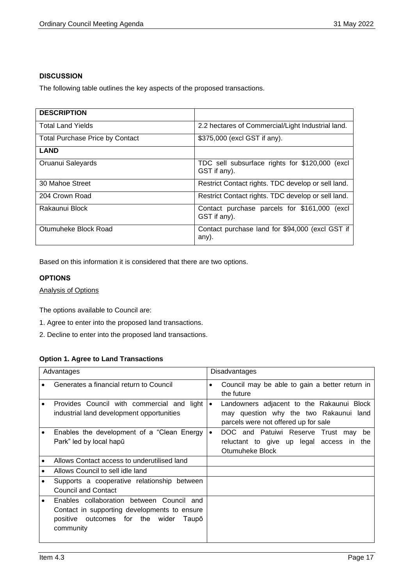# **DISCUSSION**

The following table outlines the key aspects of the proposed transactions.

| <b>DESCRIPTION</b>                     |                                                                |
|----------------------------------------|----------------------------------------------------------------|
| <b>Total Land Yields</b>               | 2.2 hectares of Commercial/Light Industrial land.              |
| <b>Total Purchase Price by Contact</b> | \$375,000 (excl GST if any).                                   |
| <b>LAND</b>                            |                                                                |
| Oruanui Saleyards                      | TDC sell subsurface rights for \$120,000 (excl<br>GST if any). |
| 30 Mahoe Street                        | Restrict Contact rights. TDC develop or sell land.             |
| 204 Crown Road                         | Restrict Contact rights. TDC develop or sell land.             |
| Rakaunui Block                         | Contact purchase parcels for \$161,000 (excl<br>GST if any).   |
| Otumuheke Block Road                   | Contact purchase land for \$94,000 (excl GST if<br>any).       |

Based on this information it is considered that there are two options.

# **OPTIONS**

Analysis of Options

The options available to Council are:

- 1. Agree to enter into the proposed land transactions.
- 2. Decline to enter into the proposed land transactions.

# **Option 1. Agree to Land Transactions**

|           | Advantages                                                                                                                                            | <b>Disadvantages</b> |                                                                                                                             |
|-----------|-------------------------------------------------------------------------------------------------------------------------------------------------------|----------------------|-----------------------------------------------------------------------------------------------------------------------------|
|           | Generates a financial return to Council                                                                                                               | ٠                    | Council may be able to gain a better return in<br>the future                                                                |
|           | Provides Council with commercial and light<br>industrial land development opportunities                                                               | $\bullet$            | Landowners adjacent to the Rakaunui Block<br>may question why the two Rakaunui land<br>parcels were not offered up for sale |
|           | Enables the development of a "Clean Energy"<br>Park" led by local hapū                                                                                | $\bullet$            | DOC and Patuiwi Reserve Trust may<br>be<br>reluctant to give up legal access in the<br>Otumuheke Block                      |
|           | Allows Contact access to underutilised land                                                                                                           |                      |                                                                                                                             |
|           | Allows Council to sell idle land                                                                                                                      |                      |                                                                                                                             |
|           | Supports a cooperative relationship between<br><b>Council and Contact</b>                                                                             |                      |                                                                                                                             |
| $\bullet$ | Enables collaboration between Council and<br>Contact in supporting developments to ensure<br>outcomes for the wider<br>positive<br>Taupō<br>community |                      |                                                                                                                             |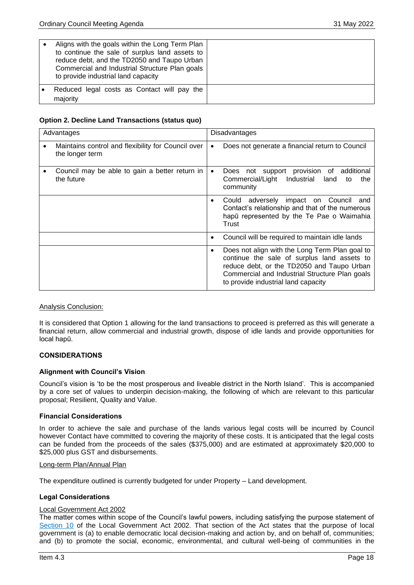| Aligns with the goals within the Long Term Plan<br>to continue the sale of surplus land assets to<br>reduce debt, and the TD2050 and Taupo Urban<br>Commercial and Industrial Structure Plan goals<br>to provide industrial land capacity |  |
|-------------------------------------------------------------------------------------------------------------------------------------------------------------------------------------------------------------------------------------------|--|
| Reduced legal costs as Contact will pay the<br>majority                                                                                                                                                                                   |  |

#### **Option 2. Decline Land Transactions (status quo)**

| Advantages                                                                         | Disadvantages                                                                                                                                                                                                                                     |  |
|------------------------------------------------------------------------------------|---------------------------------------------------------------------------------------------------------------------------------------------------------------------------------------------------------------------------------------------------|--|
| Maintains control and flexibility for Council over<br>$\bullet$<br>the longer term | Does not generate a financial return to Council<br>$\bullet$                                                                                                                                                                                      |  |
| Council may be able to gain a better return in<br>the future                       | not support provision of additional<br>Does<br>$\bullet$<br>Commercial/Light<br>Industrial<br>land<br>to<br>the<br>community                                                                                                                      |  |
|                                                                                    | adversely impact on Council<br>Could<br>and<br>$\bullet$<br>Contact's relationship and that of the numerous<br>hapū represented by the Te Pae o Waimahia<br>Trust                                                                                 |  |
|                                                                                    | Council will be required to maintain idle lands<br>$\bullet$                                                                                                                                                                                      |  |
|                                                                                    | Does not align with the Long Term Plan goal to<br>$\bullet$<br>continue the sale of surplus land assets to<br>reduce debt, or the TD2050 and Taupo Urban<br>Commercial and Industrial Structure Plan goals<br>to provide industrial land capacity |  |

#### Analysis Conclusion:

It is considered that Option 1 allowing for the land transactions to proceed is preferred as this will generate a financial return, allow commercial and industrial growth, dispose of idle lands and provide opportunities for local hapū.

#### **CONSIDERATIONS**

#### **Alignment with Council's Vision**

Council's vision is 'to be the most prosperous and liveable district in the North Island'. This is accompanied by a core set of values to underpin decision-making, the following of which are relevant to this particular proposal; Resilient, Quality and Value.

#### **Financial Considerations**

In order to achieve the sale and purchase of the lands various legal costs will be incurred by Council however Contact have committed to covering the majority of these costs. It is anticipated that the legal costs can be funded from the proceeds of the sales (\$375,000) and are estimated at approximately \$20,000 to \$25,000 plus GST and disbursements.

#### Long-term Plan/Annual Plan

The expenditure outlined is currently budgeted for under Property – Land development.

#### **Legal Considerations**

#### Local Government Act 2002

The matter comes within scope of the Council's lawful powers, including satisfying the purpose statement of [Section 10](http://www.legislation.govt.nz/act/public/2002/0084/latest/DLM171803.html?search=qs_act%40bill%40regulation%40deemedreg_local+government+act_resel_25_h&p=1) of the Local Government Act 2002. That section of the Act states that the purpose of local government is (a) to enable democratic local decision-making and action by, and on behalf of, communities; and (b) to promote the social, economic, environmental, and cultural well-being of communities in the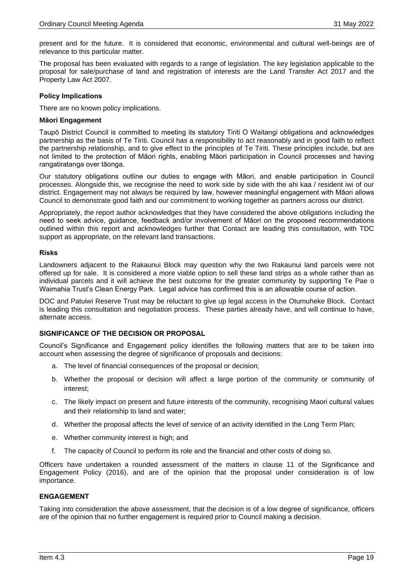present and for the future. It is considered that economic, environmental and cultural well-beings are of relevance to this particular matter.

The proposal has been evaluated with regards to a range of legislation. The key legislation applicable to the proposal for sale/purchase of land and registration of interests are the Land Transfer Act 2017 and the Property Law Act 2007.

#### **Policy Implications**

There are no known policy implications.

#### **Māori Engagement**

Taupō District Council is committed to meeting its statutory Tiriti O Waitangi obligations and acknowledges partnership as the basis of Te Tiriti. Council has a responsibility to act reasonably and in good faith to reflect the partnership relationship, and to give effect to the principles of Te Tiriti. These principles include, but are not limited to the protection of Māori rights, enabling Māori participation in Council processes and having rangatiratanga over tāonga.

Our statutory obligations outline our duties to engage with Māori, and enable participation in Council processes. Alongside this, we recognise the need to work side by side with the ahi kaa / resident iwi of our district. Engagement may not always be required by law, however meaningful engagement with Māori allows Council to demonstrate good faith and our commitment to working together as partners across our district.

Appropriately, the report author acknowledges that they have considered the above obligations including the need to seek advice, guidance, feedback and/or involvement of Māori on the proposed recommendations outlined within this report and acknowledges further that Contact are leading this consultation, with TDC support as appropriate, on the relevant land transactions.

#### **Risks**

Landowners adjacent to the Rakaunui Block may question why the two Rakaunui land parcels were not offered up for sale. It is considered a more viable option to sell these land strips as a whole rather than as individual parcels and it will achieve the best outcome for the greater community by supporting Te Pae o Waimahia Trust's Clean Energy Park. Legal advice has confirmed this is an allowable course of action.

DOC and Patuiwi Reserve Trust may be reluctant to give up legal access in the Otumuheke Block. Contact is leading this consultation and negotiation process. These parties already have, and will continue to have, alternate access.

#### **SIGNIFICANCE OF THE DECISION OR PROPOSAL**

Council's Significance and Engagement policy identifies the following matters that are to be taken into account when assessing the degree of significance of proposals and decisions:

- a. The level of financial consequences of the proposal or decision;
- b. Whether the proposal or decision will affect a large portion of the community or community of interest;
- c. The likely impact on present and future interests of the community, recognising Maori cultural values and their relationship to land and water;
- d. Whether the proposal affects the level of service of an activity identified in the Long Term Plan;
- e. Whether community interest is high; and
- f. The capacity of Council to perform its role and the financial and other costs of doing so.

Officers have undertaken a rounded assessment of the matters in clause 11 of the Significance and Engagement Policy (2016), and are of the opinion that the proposal under consideration is of low importance.

#### **ENGAGEMENT**

Taking into consideration the above assessment, that the decision is of a low degree of significance, officers are of the opinion that no further engagement is required prior to Council making a decision.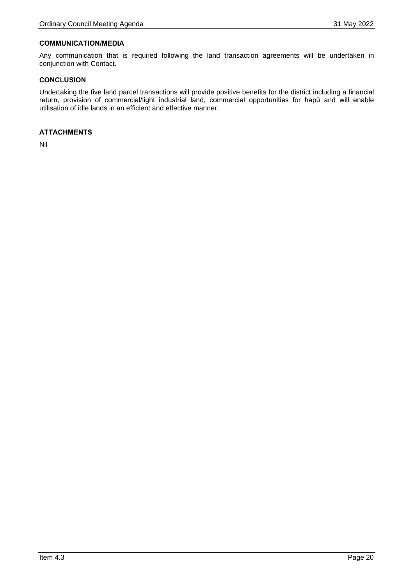#### **COMMUNICATION/MEDIA**

Any communication that is required following the land transaction agreements will be undertaken in conjunction with Contact.

#### **CONCLUSION**

Undertaking the five land parcel transactions will provide positive benefits for the district including a financial return, provision of commercial/light industrial land, commercial opportunities for hapū and will enable utilisation of idle lands in an efficient and effective manner.

#### **ATTACHMENTS**

Nil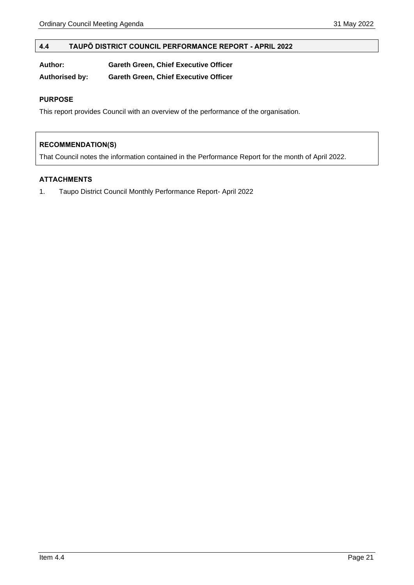#### <span id="page-20-0"></span>**4.4 TAUPŌ DISTRICT COUNCIL PERFORMANCE REPORT - APRIL 2022**

| Author: | <b>Gareth Green, Chief Executive Officer</b> |  |
|---------|----------------------------------------------|--|
|         |                                              |  |

**Authorised by: Gareth Green, Chief Executive Officer**

## **PURPOSE**

This report provides Council with an overview of the performance of the organisation.

# **RECOMMENDATION(S)**

That Council notes the information contained in the Performance Report for the month of April 2022.

# **ATTACHMENTS**

1. Taupo District Council Monthly Performance Report- April 2022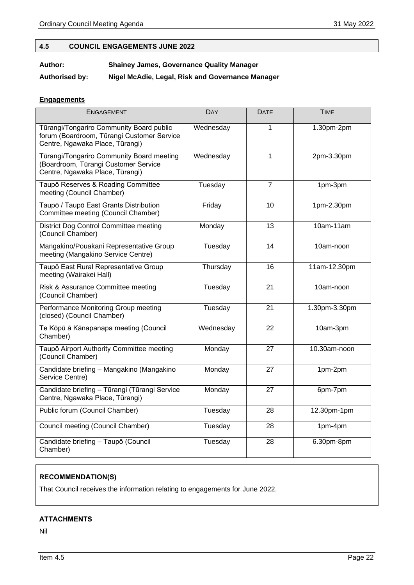# <span id="page-21-0"></span>**4.5 COUNCIL ENGAGEMENTS JUNE 2022**

# **Author: Shainey James, Governance Quality Manager**

**Authorised by: Nigel McAdie, Legal, Risk and Governance Manager**

# **Engagements**

| ENGAGEMENT                                                                                                                | DAY       | <b>DATE</b>    | <b>TIME</b>   |
|---------------------------------------------------------------------------------------------------------------------------|-----------|----------------|---------------|
| Tūrangi/Tongariro Community Board public<br>forum (Boardroom, Tūrangi Customer Service<br>Centre, Ngawaka Place, Tūrangi) | Wednesday | 1              | 1.30pm-2pm    |
| Tūrangi/Tongariro Community Board meeting<br>(Boardroom, Tūrangi Customer Service<br>Centre, Ngawaka Place, Tūrangi)      | Wednesday | 1              | 2pm-3.30pm    |
| Taupō Reserves & Roading Committee<br>meeting (Council Chamber)                                                           | Tuesday   | $\overline{7}$ | 1pm-3pm       |
| Taupō / Taupō East Grants Distribution<br>Committee meeting (Council Chamber)                                             | Friday    | 10             | 1pm-2.30pm    |
| District Dog Control Committee meeting<br>(Council Chamber)                                                               | Monday    | 13             | 10am-11am     |
| Mangakino/Pouakani Representative Group<br>meeting (Mangakino Service Centre)                                             | Tuesday   | 14             | 10am-noon     |
| Taupō East Rural Representative Group<br>meeting (Wairakei Hall)                                                          | Thursday  | 16             | 11am-12.30pm  |
| Risk & Assurance Committee meeting<br>(Council Chamber)                                                                   | Tuesday   | 21             | 10am-noon     |
| Performance Monitoring Group meeting<br>(closed) (Council Chamber)                                                        | Tuesday   | 21             | 1.30pm-3.30pm |
| Te Kōpū ā Kānapanapa meeting (Council<br>Chamber)                                                                         | Wednesday | 22             | 10am-3pm      |
| Taupō Airport Authority Committee meeting<br>(Council Chamber)                                                            | Monday    | 27             | 10.30am-noon  |
| Candidate briefing - Mangakino (Mangakino<br>Service Centre)                                                              | Monday    | 27             | 1pm-2pm       |
| Candidate briefing - Tūrangi (Tūrangi Service<br>Centre, Ngawaka Place, Tūrangi)                                          | Monday    | 27             | 6pm-7pm       |
| Public forum (Council Chamber)                                                                                            | Tuesday   | 28             | 12.30pm-1pm   |
| Council meeting (Council Chamber)                                                                                         | Tuesday   | 28             | 1pm-4pm       |
| Candidate briefing - Taupō (Council<br>Chamber)                                                                           | Tuesday   | 28             | 6.30pm-8pm    |

# **RECOMMENDATION(S)**

That Council receives the information relating to engagements for June 2022.

# **ATTACHMENTS**

Nil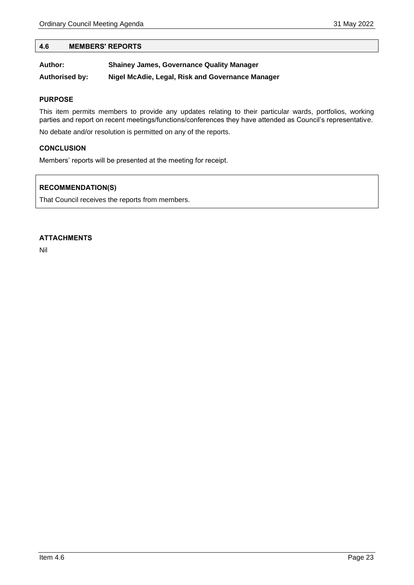#### <span id="page-22-0"></span>**4.6 MEMBERS' REPORTS**

| Author:               | <b>Shainey James, Governance Quality Manager</b> |
|-----------------------|--------------------------------------------------|
| <b>Authorised by:</b> | Nigel McAdie, Legal, Risk and Governance Manager |

#### **PURPOSE**

This item permits members to provide any updates relating to their particular wards, portfolios, working parties and report on recent meetings/functions/conferences they have attended as Council's representative.

No debate and/or resolution is permitted on any of the reports.

#### **CONCLUSION**

Members' reports will be presented at the meeting for receipt.

## **RECOMMENDATION(S)**

That Council receives the reports from members.

#### **ATTACHMENTS**

Nil